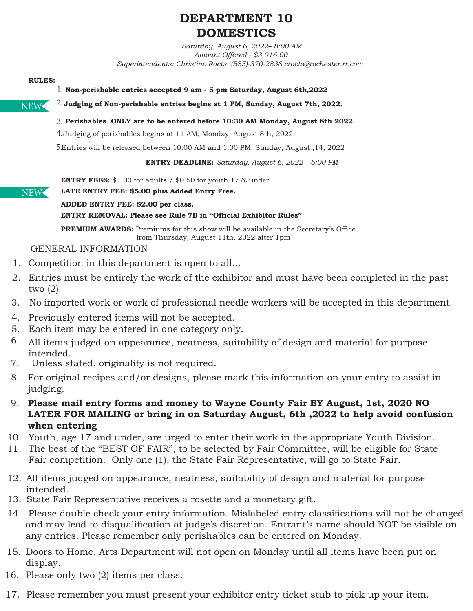# **DEPARTMENT 10 DOMESTICS**

*Saturday, August 6, 2022– 8:00 AM Amount Offered - \$3,016.00 Superintendents: Christine Roets (585)-370-2838 croets@rochester.rr.com* 

#### **RULES:**

**Non-perishable entries accepted 9 am - 5 pm Saturday, August 6th,2022** 1.

NEW

NEW

## **Perishables ONLY are to be entered before 10:30 AM Monday, August 8th 2022.** 3.

 $4.$  Judging of perishables begins at 11 AM, Monday, August 8th, 2022.

Entries will be released between 10:00 AM and 1:00 PM, Sunday, August ,14, 2022 5.

 **Judging of Non-perishable entries begins at 1 PM, Sunday, August 7th, 2022.**  2.

**ENTRY DEADLINE:** *Saturday, August 6, 2022 – 5:00 PM*

**ENTRY FEES:** \$1.00 for adults / \$0.50 for youth 17 & under

#### **LATE ENTRY FEE: \$5.00 plus Added Entry Free.**

**ADDED ENTRY FEE: \$2.00 per class.** 

#### **ENTRY REMOVAL: Please see Rule 7B in "Official Exhibitor Rules"**

**PREMIUM AWARDS:** Premiums for this show will be available in the Secretary's Office from Thursday, August 11th, 2022 after 1pm

### GENERAL INFORMATION

- 1. Competition in this department is open to all...
- Entries must be entirely the work of the exhibitor and must have been completed in the past 2. two (2)
- 3. No imported work or work of professional needle workers will be accepted in this department.
- 4. Previously entered items will not be accepted.
- Each item may be entered in one category only. 5.
- All items judged on appearance, neatness, suitability of design and material for purpose 6. intended.
- Unless stated, originality is not required. 7.
- For original recipes and/or designs, please mark this information on your entry to assist in 8. judging.
- **Please mail entry forms and money to Wayne County Fair BY August, 1st, 2020 NO**  9.**LATER FOR MAILING or bring in on Saturday August, 6th ,2022 to help avoid confusion when entering**
- 10. Youth, age 17 and under, are urged to enter their work in the appropriate Youth Division.
- 11. The best of the "BEST OF FAIR", to be selected by Fair Committee, will be eligible for State Fair competition. Only one (1), the State Fair Representative, will go to State Fair.
- All items judged on appearance, neatness, suitability of design and material for purpose 12. intended.
- 13. State Fair Representative receives a rosette and a monetary gift.
- Please double check your entry information. Mislabeled entry classifications will not be changed 14. and may lead to disqualification at judge's discretion. Entrant's name should NOT be visible on any entries. Please remember only perishables can be entered on Monday.
- 15. Doors to Home, Arts Department will not open on Monday until all items have been put on display.
- 16. Please only two (2) items per class.
- 17. Please remember you must present your exhibitor entry ticket stub to pick up your item.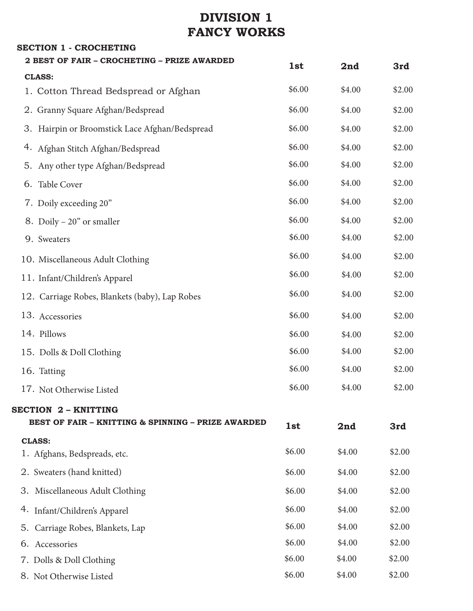# **DIVISION 1 FANCY WORKS**

**SECTION 1 - CROCHETING**

| <b>2 BEST OF FAIR - CROCHETING - PRIZE AWARDED</b> | 1st    | 2nd        | 3rd          |
|----------------------------------------------------|--------|------------|--------------|
| <b>CLASS:</b>                                      |        |            |              |
| 1. Cotton Thread Bedspread or Afghan               | \$6.00 | \$4.00     | \$2.00       |
| 2. Granny Square Afghan/Bedspread                  | \$6.00 | \$4.00     | \$2.00       |
| 3. Hairpin or Broomstick Lace Afghan/Bedspread     | \$6.00 | \$4.00     | \$2.00       |
| 4. Afghan Stitch Afghan/Bedspread                  | \$6.00 | \$4.00     | \$2.00       |
| 5. Any other type Afghan/Bedspread                 | \$6.00 | \$4.00     | \$2.00       |
| 6. Table Cover                                     | \$6.00 | \$4.00     | \$2.00       |
| 7. Doily exceeding 20"                             | \$6.00 | \$4.00     | \$2.00       |
| 8. Doily $-20$ " or smaller                        | \$6.00 | \$4.00     | \$2.00       |
| 9. Sweaters                                        | \$6.00 | \$4.00     | \$2.00       |
| 10. Miscellaneous Adult Clothing                   | \$6.00 | \$4.00     | \$2.00       |
| 11. Infant/Children's Apparel                      | \$6.00 | \$4.00     | \$2.00       |
| 12. Carriage Robes, Blankets (baby), Lap Robes     | \$6.00 | \$4.00     | \$2.00       |
| 13. Accessories                                    | \$6.00 | \$4.00     | \$2.00       |
| 14. Pillows                                        | \$6.00 | \$4.00     | \$2.00       |
| 15. Dolls & Doll Clothing                          | \$6.00 | \$4.00     | \$2.00       |
| 16. Tatting                                        | \$6.00 | \$4.00     | \$2.00       |
| 17. Not Otherwise Listed                           | \$6.00 | \$4.00     | \$2.00       |
| <b>SECTION 2 - KNITTING</b>                        |        |            |              |
| BEST OF FAIR - KNITTING & SPINNING - PRIZE AWARDED | 1st    | 2nd        | 3rd          |
| <b>CLASS:</b>                                      | \$6.00 | $A \Omega$ | <b>¢ን ሰሰ</b> |
|                                                    |        |            |              |

| 1. Afghans, Bedspreads, etc.     | \$6.00 | \$4.00 | \$2.00 |
|----------------------------------|--------|--------|--------|
| 2. Sweaters (hand knitted)       | \$6.00 | \$4.00 | \$2.00 |
| 3. Miscellaneous Adult Clothing  | \$6.00 | \$4.00 | \$2.00 |
| 4. Infant/Children's Apparel     | \$6.00 | \$4.00 | \$2.00 |
| 5. Carriage Robes, Blankets, Lap | \$6.00 | \$4.00 | \$2.00 |
| 6. Accessories                   | \$6.00 | \$4.00 | \$2.00 |
| 7. Dolls & Doll Clothing         | \$6.00 | \$4.00 | \$2.00 |
| 8. Not Otherwise Listed          | \$6.00 | \$4.00 | \$2.00 |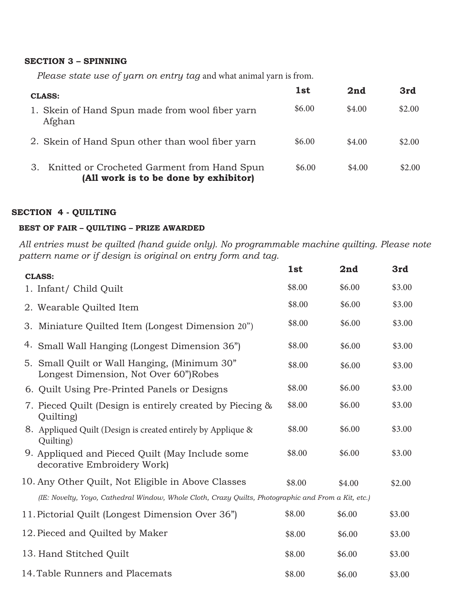#### **SECTION 3 – SPINNING**

*Please state use of yarn on entry tag* and what animal yarn is from.

| <b>CLASS:</b>                                                                              | 1st    | 2nd    | 3rd    |
|--------------------------------------------------------------------------------------------|--------|--------|--------|
| 1. Skein of Hand Spun made from wool fiber yarn<br>Afghan                                  | \$6.00 | \$4.00 | \$2.00 |
| 2. Skein of Hand Spun other than wool fiber yarn                                           | \$6.00 | \$4.00 | \$2.00 |
| Knitted or Crocheted Garment from Hand Spun<br>З.<br>(All work is to be done by exhibitor) | \$6.00 | \$4.00 | \$2.00 |

#### **SECTION 4 - QUILTING**

## **BEST OF FAIR – QUILTING – PRIZE AWARDED**

*All entries must be quilted (hand guide only). No programmable machine quilting. Please note pattern name or if design is original on entry form and tag.*

| <b>CLASS:</b>                                                                                       | 1st    | 2nd    | 3rd    |
|-----------------------------------------------------------------------------------------------------|--------|--------|--------|
| 1. Infant/ Child Quilt                                                                              | \$8.00 | \$6.00 | \$3.00 |
| 2. Wearable Quilted Item                                                                            | \$8.00 | \$6.00 | \$3.00 |
| 3. Miniature Quilted Item (Longest Dimension 20")                                                   | \$8.00 | \$6.00 | \$3.00 |
| 4. Small Wall Hanging (Longest Dimension 36")                                                       | \$8.00 | \$6.00 | \$3.00 |
| 5. Small Quilt or Wall Hanging, (Minimum 30"<br>Longest Dimension, Not Over 60")Robes               | \$8.00 | \$6.00 | \$3.00 |
| 6. Quilt Using Pre-Printed Panels or Designs                                                        | \$8.00 | \$6.00 | \$3.00 |
| 7. Pieced Quilt (Design is entirely created by Piecing &<br>Quilting)                               | \$8.00 | \$6.00 | \$3.00 |
| 8. Appliqued Quilt (Design is created entirely by Applique &<br>Quilting)                           | \$8.00 | \$6.00 | \$3.00 |
| 9. Appliqued and Pieced Quilt (May Include some<br>decorative Embroidery Work)                      | \$8.00 | \$6.00 | \$3.00 |
| 10. Any Other Quilt, Not Eligible in Above Classes                                                  | \$8.00 | \$4.00 | \$2.00 |
| (IE: Novelty, Yoyo, Cathedral Window, Whole Cloth, Crazy Quilts, Photographic and From a Kit, etc.) |        |        |        |
| 11. Pictorial Quilt (Longest Dimension Over 36")                                                    | \$8.00 | \$6.00 | \$3.00 |
| 12. Pieced and Quilted by Maker                                                                     | \$8.00 | \$6.00 | \$3.00 |
| 13. Hand Stitched Quilt                                                                             | \$8.00 | \$6.00 | \$3.00 |
| 14. Table Runners and Placemats                                                                     | \$8.00 | \$6.00 | \$3.00 |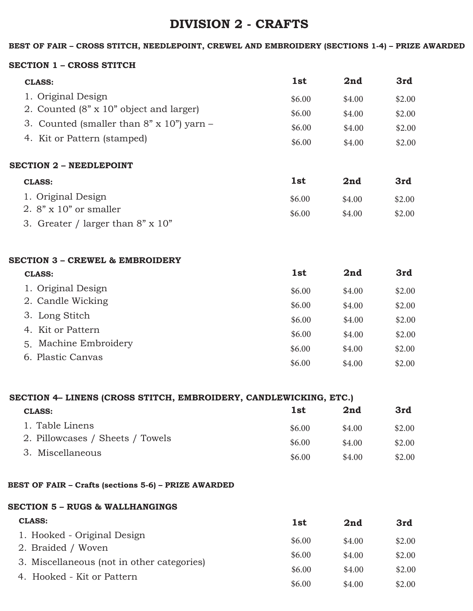## **DIVISION 2 - CRAFTS**

#### **BEST OF FAIR – CROSS STITCH, NEEDLEPOINT, CREWEL AND EMBROIDERY (SECTIONS 1-4) – PRIZE AWARDED**

#### **SECTION 1 – CROSS STITCH**

| <b>CLASS:</b>                                     | 1st    | 2nd    | 3rd    |
|---------------------------------------------------|--------|--------|--------|
| 1. Original Design                                | \$6.00 | \$4.00 | \$2.00 |
| 2. Counted (8" x 10" object and larger)           | \$6.00 | \$4.00 | \$2.00 |
| 3. Counted (smaller than $8" \times 10"$ ) yarn – | \$6.00 | \$4.00 | \$2.00 |
| 4. Kit or Pattern (stamped)                       | \$6.00 | \$4.00 | \$2.00 |

#### **SECTION 2 – NEEDLEPOINT**

| <b>CLASS:</b>                            | 1st    | 2nd    | 3rd    |
|------------------------------------------|--------|--------|--------|
| 1. Original Design                       | \$6.00 | \$4.00 | \$2.00 |
| 2. $8" \times 10"$ or smaller            | \$6.00 | \$4.00 | \$2.00 |
| 3. Greater / larger than $8" \times 10"$ |        |        |        |

#### **SECTION 3 – CREWEL & EMBROIDERY**

| <b>CLASS:</b>         | 1st    | 2nd    | 3rd    |
|-----------------------|--------|--------|--------|
| 1. Original Design    | \$6.00 | \$4.00 | \$2.00 |
| 2. Candle Wicking     | \$6.00 | \$4.00 | \$2.00 |
| 3. Long Stitch        | \$6.00 | \$4.00 | \$2.00 |
| 4. Kit or Pattern     | \$6.00 | \$4.00 | \$2.00 |
| 5. Machine Embroidery | \$6.00 | \$4.00 | \$2.00 |
| 6. Plastic Canvas     | \$6.00 | \$4.00 | \$2.00 |
|                       |        |        |        |

| SECTION 4– LINENS (CROSS STITCH, EMBROIDERY, CANDLEWICKING, ETC.) |        |        |  |
|-------------------------------------------------------------------|--------|--------|--|
| 1st                                                               | 2nd    | 3rd    |  |
| \$6.00                                                            | \$4.00 | \$2.00 |  |
| \$6.00                                                            | \$4.00 | \$2.00 |  |
| \$6.00                                                            | \$4.00 | \$2.00 |  |
|                                                                   |        |        |  |

#### **BEST OF FAIR – Crafts (sections 5-6) – PRIZE AWARDED**

## **SECTION 5 – RUGS & WALLHANGINGS**

| <b>CLASS:</b>                              | 1 <sub>st</sub> | 2nd    | 3rd    |
|--------------------------------------------|-----------------|--------|--------|
| 1. Hooked - Original Design                | \$6.00          | \$4.00 | \$2.00 |
| 2. Braided / Woven                         | \$6.00          | \$4.00 | \$2.00 |
| 3. Miscellaneous (not in other categories) | \$6.00          | \$4.00 | \$2.00 |
| 4. Hooked - Kit or Pattern                 | \$6.00          | \$4.00 | \$2.00 |
|                                            |                 |        |        |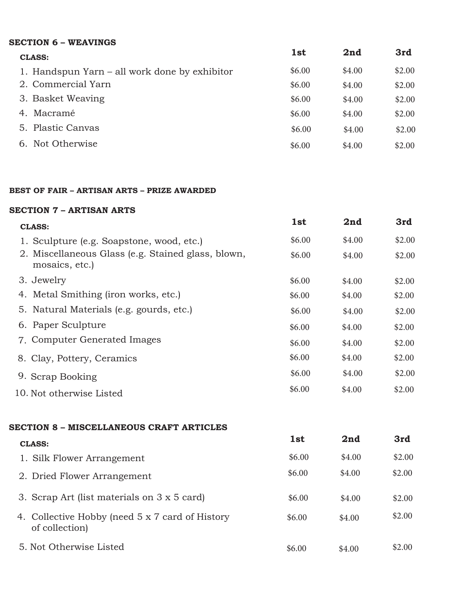### **SECTION 6 – WEAVINGS**

| <b>CLASS:</b>                                 | 1st    | 2nd    | 3rd    |
|-----------------------------------------------|--------|--------|--------|
| 1. Handspun Yarn – all work done by exhibitor | \$6.00 | \$4.00 | \$2.00 |
| 2. Commercial Yarn                            | \$6.00 | \$4.00 | \$2.00 |
| 3. Basket Weaving                             | \$6.00 | \$4.00 | \$2.00 |
| Macramé<br>4.                                 | \$6.00 | \$4.00 | \$2.00 |
| 5. Plastic Canvas                             | \$6.00 | \$4.00 | \$2.00 |
| 6. Not Otherwise                              | \$6.00 | \$4.00 | \$2.00 |

#### **BEST OF FAIR – ARTISAN ARTS – PRIZE AWARDED**

#### **SECTION 7 – ARTISAN ARTS**

| <b>CLASS:</b>                                                        | 1st    | 2nd    | 3rd    |
|----------------------------------------------------------------------|--------|--------|--------|
| 1. Sculpture (e.g. Soapstone, wood, etc.)                            | \$6.00 | \$4.00 | \$2.00 |
| 2. Miscellaneous Glass (e.g. Stained glass, blown,<br>mosaics, etc.) | \$6.00 | \$4.00 | \$2.00 |
| 3. Jewelry                                                           | \$6.00 | \$4.00 | \$2.00 |
| 4. Metal Smithing (iron works, etc.)                                 | \$6.00 | \$4.00 | \$2.00 |
| 5. Natural Materials (e.g. gourds, etc.)                             | \$6.00 | \$4.00 | \$2.00 |
| 6. Paper Sculpture                                                   | \$6.00 | \$4.00 | \$2.00 |
| 7. Computer Generated Images                                         | \$6.00 | \$4.00 | \$2.00 |
| 8. Clay, Pottery, Ceramics                                           | \$6.00 | \$4.00 | \$2.00 |
| 9. Scrap Booking                                                     | \$6.00 | \$4.00 | \$2.00 |
| 10. Not otherwise Listed                                             | \$6.00 | \$4.00 | \$2.00 |
|                                                                      |        |        |        |

### **SECTION 8 – MISCELLANEOUS CRAFT ARTICLES**

| <b>CLASS:</b>                                                     | 1st    | 2nd    | 3rd    |
|-------------------------------------------------------------------|--------|--------|--------|
| 1. Silk Flower Arrangement                                        | \$6.00 | \$4.00 | \$2.00 |
| 2. Dried Flower Arrangement                                       | \$6.00 | \$4.00 | \$2.00 |
| 3. Scrap Art (list materials on 3 x 5 card)                       | \$6.00 | \$4.00 | \$2.00 |
| 4. Collective Hobby (need 5 x 7 card of History<br>of collection) | \$6.00 | \$4.00 | \$2.00 |
| 5. Not Otherwise Listed                                           | \$6.00 | \$4.00 | \$2.00 |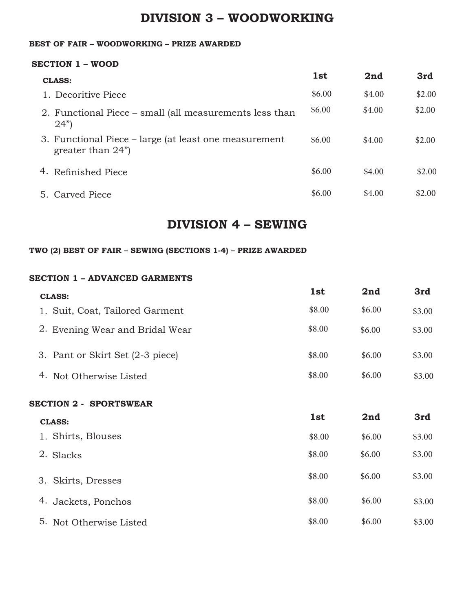## **DIVISION 3 – WOODWORKING**

### **BEST OF FAIR – WOODWORKING – PRIZE AWARDED**

#### **SECTION 1 – WOOD**

| <b>CLASS:</b>                                                                 | 1st    | 2nd    | 3rd    |
|-------------------------------------------------------------------------------|--------|--------|--------|
| 1. Decoritive Piece                                                           | \$6.00 | \$4.00 | \$2.00 |
| 2. Functional Piece – small (all measurements less than<br>(24")              | \$6.00 | \$4.00 | \$2.00 |
| 3. Functional Piece – large (at least one measurement<br>greater than $24$ ") | \$6.00 | \$4.00 | \$2.00 |
| 4. Refinished Piece                                                           | \$6.00 | \$4.00 | \$2.00 |
| 5. Carved Piece                                                               | \$6.00 | \$4.00 | \$2.00 |

## **DIVISION 4 – SEWING**

### **TWO (2) BEST OF FAIR – SEWING (SECTIONS 1-4) – PRIZE AWARDED**

#### **SECTION 1 – ADVANCED GARMENTS**

| <b>CLASS:</b>                    | 1st    | 2nd    | 3rd    |
|----------------------------------|--------|--------|--------|
| 1. Suit, Coat, Tailored Garment  | \$8.00 | \$6.00 | \$3.00 |
| 2. Evening Wear and Bridal Wear  | \$8.00 | \$6.00 | \$3.00 |
| 3. Pant or Skirt Set (2-3 piece) | \$8.00 | \$6.00 | \$3.00 |
| 4.<br>Not Otherwise Listed       | \$8.00 | \$6.00 | \$3.00 |
| <b>SECTION 2 - SPORTSWEAR</b>    |        |        |        |
| <b>CLASS:</b>                    | 1st    | 2nd    | 3rd    |

| 1. Shirts, Blouses      | \$8.00 | \$6.00 | \$3.00 |
|-------------------------|--------|--------|--------|
| 2. Slacks               | \$8.00 | \$6.00 | \$3.00 |
| 3. Skirts, Dresses      | \$8.00 | \$6.00 | \$3.00 |
| 4. Jackets, Ponchos     | \$8.00 | \$6.00 | \$3.00 |
| 5. Not Otherwise Listed | \$8.00 | \$6.00 | \$3.00 |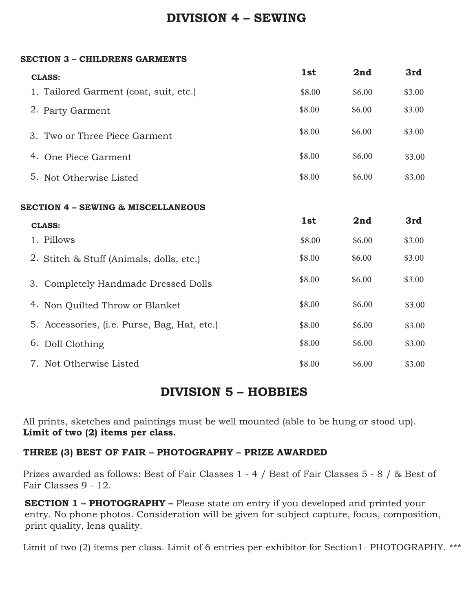## **DIVISION 4 – SEWING**

### **SECTION 3 – CHILDRENS GARMENTS**

|    | <b>CLASS:</b>                                               | 1st    | 2nd    | 3rd    |  |  |
|----|-------------------------------------------------------------|--------|--------|--------|--|--|
|    | 1. Tailored Garment (coat, suit, etc.)                      | \$8.00 | \$6.00 | \$3.00 |  |  |
|    | 2. Party Garment                                            | \$8.00 | \$6.00 | \$3.00 |  |  |
|    | 3. Two or Three Piece Garment                               | \$8.00 | \$6.00 | \$3.00 |  |  |
|    | 4. One Piece Garment                                        | \$8.00 | \$6.00 | \$3.00 |  |  |
|    | 5. Not Otherwise Listed                                     | \$8.00 | \$6.00 | \$3.00 |  |  |
|    | <b>SECTION 4 - SEWING &amp; MISCELLANEOUS</b><br>1st<br>2nd |        |        |        |  |  |
|    | <b>CLASS:</b>                                               |        |        | 3rd    |  |  |
|    | 1. Pillows                                                  | \$8.00 | \$6.00 | \$3.00 |  |  |
|    | 2. Stitch & Stuff (Animals, dolls, etc.)                    | \$8.00 | \$6.00 | \$3.00 |  |  |
|    | 3. Completely Handmade Dressed Dolls                        | \$8.00 | \$6.00 | \$3.00 |  |  |
|    | 4. Non Quilted Throw or Blanket                             | \$8.00 | \$6.00 | \$3.00 |  |  |
|    | 5. Accessories, (i.e. Purse, Bag, Hat, etc.)                | \$8.00 | \$6.00 | \$3.00 |  |  |
| 6. | Doll Clothing                                               | \$8.00 | \$6.00 | \$3.00 |  |  |
|    | 7. Not Otherwise Listed                                     | \$8.00 | \$6.00 | \$3.00 |  |  |

## **DIVISION 5 – HOBBIES**

All prints, sketches and paintings must be well mounted (able to be hung or stood up). **Limit of two (2) items per class.**

## **THREE (3) BEST OF FAIR – PHOTOGRAPHY – PRIZE AWARDED**

Prizes awarded as follows: Best of Fair Classes 1 - 4 / Best of Fair Classes 5 - 8 / & Best of Fair Classes 9 - 12.

**SECTION 1 – PHOTOGRAPHY –** Please state on entry if you developed and printed your entry. No phone photos. Consideration will be given for subject capture, focus, composition, print quality, lens quality.

Limit of two (2) items per class. Limit of 6 entries per-exhibitor for Section1- PHOTOGRAPHY. \*\*\*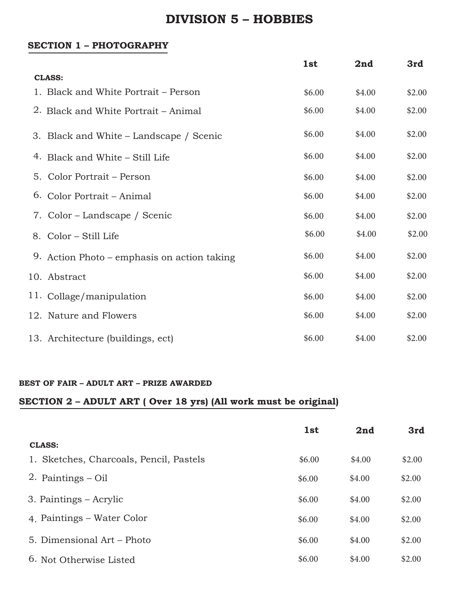## **DIVISION 5 – HOBBIES**

### **SECTION 1 – PHOTOGRAPHY**

|                                             | 1st    | 2nd    | 3rd    |
|---------------------------------------------|--------|--------|--------|
| <b>CLASS:</b>                               |        |        |        |
| 1. Black and White Portrait – Person        | \$6.00 | \$4.00 | \$2.00 |
| 2. Black and White Portrait – Animal        | \$6.00 | \$4.00 | \$2.00 |
| 3. Black and White – Landscape / Scenic     | \$6.00 | \$4.00 | \$2.00 |
| 4. Black and White – Still Life             | \$6.00 | \$4.00 | \$2.00 |
| 5. Color Portrait – Person                  | \$6.00 | \$4.00 | \$2.00 |
| 6. Color Portrait – Animal                  | \$6.00 | \$4.00 | \$2.00 |
| 7. Color – Landscape / Scenic               | \$6.00 | \$4.00 | \$2.00 |
| 8. Color – Still Life                       | \$6.00 | \$4.00 | \$2.00 |
| 9. Action Photo – emphasis on action taking | \$6.00 | \$4.00 | \$2.00 |
| 10. Abstract                                | \$6.00 | \$4.00 | \$2.00 |
| 11. Collage/manipulation                    | \$6.00 | \$4.00 | \$2.00 |
| 12. Nature and Flowers                      | \$6.00 | \$4.00 | \$2.00 |
| 13. Architecture (buildings, ect)           | \$6.00 | \$4.00 | \$2.00 |

#### **BEST OF FAIR – ADULT ART – PRIZE AWARDED**

## **SECTION 2 – ADULT ART ( Over 18 yrs) (All work must be original)**

|                                         | 1st    | 2nd    | 3rd    |
|-----------------------------------------|--------|--------|--------|
| <b>CLASS:</b>                           |        |        |        |
| 1. Sketches, Charcoals, Pencil, Pastels | \$6.00 | \$4.00 | \$2.00 |
| 2. Paintings $-$ Oil                    | \$6.00 | \$4.00 | \$2.00 |
| 3. Paintings – Acrylic                  | \$6.00 | \$4.00 | \$2.00 |
| 4. Paintings – Water Color              | \$6.00 | \$4.00 | \$2.00 |
| 5. Dimensional Art – Photo              | \$6.00 | \$4.00 | \$2.00 |
| 6. Not Otherwise Listed                 | \$6.00 | \$4.00 | \$2.00 |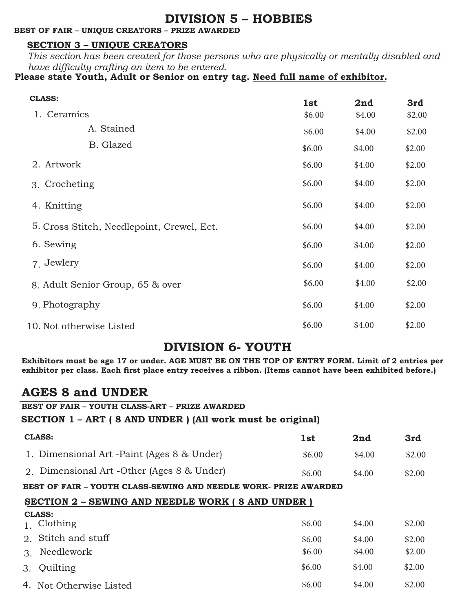## **DIVISION 5 – HOBBIES**

### **BEST OF FAIR – UNIQUE CREATORS – PRIZE AWARDED**

## **SECTION 3 – UNIQUE CREATORS**

*This section has been created for those persons who are physically or mentally disabled and have difficulty crafting an item to be entered.*

**Please state Youth, Adult or Senior on entry tag. Need full name of exhibitor.**

| <b>CLASS:</b>                              | 1st              | 2nd    | 3rd    |
|--------------------------------------------|------------------|--------|--------|
| 1. Ceramics                                | \$6.00<br>\$4.00 |        | \$2.00 |
| A. Stained                                 | \$6.00           | \$4.00 | \$2.00 |
| B. Glazed                                  | \$6.00           | \$4.00 | \$2.00 |
| 2. Artwork                                 | \$6.00           | \$4.00 | \$2.00 |
| 3. Crocheting                              | \$6.00           | \$4.00 | \$2.00 |
| 4. Knitting                                | \$6.00           | \$4.00 | \$2.00 |
| 5. Cross Stitch, Needlepoint, Crewel, Ect. | \$6.00           | \$4.00 | \$2.00 |
| 6. Sewing                                  | \$6.00           | \$4.00 | \$2.00 |
| 7. Jewlery                                 | \$6.00           | \$4.00 | \$2.00 |
| 8. Adult Senior Group, 65 & over           | \$6.00           | \$4.00 | \$2.00 |
| 9. Photography                             | \$6.00           | \$4.00 | \$2.00 |
| 10. Not otherwise Listed                   | \$6.00           | \$4.00 | \$2.00 |

## **DIVISION 6- YOUTH**

**Exhibitors must be age 17 or under. AGE MUST BE ON THE TOP OF ENTRY FORM. Limit of 2 entries per exhibitor per class. Each first place entry receives a ribbon. (Items cannot have been exhibited before.)**

## **AGES 8 and UNDER**

CLASS.

**BEST OF FAIR – YOUTH CLASS-ART – PRIZE AWARDED**

#### **SECTION 1 – ART ( 8 AND UNDER ) (All work must be original)**

| <b>CLASS:</b>                                                    | 1st    | 2nd    | 3rd    |  |
|------------------------------------------------------------------|--------|--------|--------|--|
| 1. Dimensional Art -Paint (Ages 8 & Under)                       | \$6.00 | \$4.00 | \$2.00 |  |
| 2. Dimensional Art -Other (Ages 8 & Under)                       | \$6.00 | \$4.00 | \$2.00 |  |
| BEST OF FAIR - YOUTH CLASS-SEWING AND NEEDLE WORK- PRIZE AWARDED |        |        |        |  |
| <b>SECTION 2 - SEWING AND NEEDLE WORK (8 AND UNDER)</b>          |        |        |        |  |

| CLASS.                  |        |        |        |
|-------------------------|--------|--------|--------|
| Clothing                | \$6.00 | \$4.00 | \$2.00 |
| 2. Stitch and stuff     | \$6.00 | \$4.00 | \$2.00 |
| 3. Needlework           | \$6.00 | \$4.00 | \$2.00 |
| 3. Quilting             | \$6.00 | \$4.00 | \$2.00 |
| 4. Not Otherwise Listed | \$6.00 | \$4.00 | \$2.00 |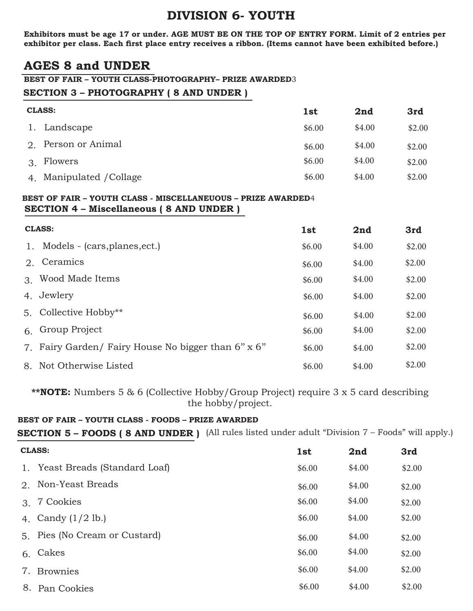**Exhibitors must be age 17 or under. AGE MUST BE ON THE TOP OF ENTRY FORM. Limit of 2 entries per exhibitor per class. Each first place entry receives a ribbon. (Items cannot have been exhibited before.)**

## **AGES 8 and UNDER**

#### **BEST OF FAIR – YOUTH CLASS-PHOTOGRAPHY– PRIZE AWARDED**3

### **SECTION 3 – PHOTOGRAPHY ( 8 AND UNDER )**

| <b>CLASS:</b>            | 1st    | 2nd    | 3rd    |
|--------------------------|--------|--------|--------|
| 1. Landscape             | \$6.00 | \$4.00 | \$2.00 |
| Person or Animal<br>2.   | \$6.00 | \$4.00 | \$2.00 |
| Flowers<br>3.            | \$6.00 | \$4.00 | \$2.00 |
| 4. Manipulated / Collage | \$6.00 | \$4.00 | \$2.00 |

#### **SECTION 4 – Miscellaneous ( 8 AND UNDER ) BEST OF FAIR – YOUTH CLASS - MISCELLANEUOUS – PRIZE AWARDED**4

|    | <b>CLASS:</b>                                       |        | 2nd    | 3rd    |
|----|-----------------------------------------------------|--------|--------|--------|
| 1. | Models - (cars, planes, ect.)                       | \$6.00 | \$4.00 | \$2.00 |
|    | 2. Ceramics                                         | \$6.00 | \$4.00 | \$2.00 |
|    | 3. Wood Made Items                                  | \$6.00 | \$4.00 | \$2.00 |
|    | 4. Jewlery                                          | \$6.00 | \$4.00 | \$2.00 |
|    | 5. Collective Hobby**                               | \$6.00 | \$4.00 | \$2.00 |
|    | 6. Group Project                                    | \$6.00 | \$4.00 | \$2.00 |
|    | 7. Fairy Garden/ Fairy House No bigger than 6" x 6" | \$6.00 | \$4.00 | \$2.00 |
|    | 8. Not Otherwise Listed                             | \$6.00 | \$4.00 | \$2.00 |

**\*\*NOTE:** Numbers 5 & 6 (Collective Hobby/Group Project) require 3 x 5 card describing the hobby/project.

### **BEST OF FAIR – YOUTH CLASS - FOODS – PRIZE AWARDED**

**SECTION 5 – FOODS ( 8 AND UNDER )** (All rules listed under adult "Division 7 – Foods" will apply.)

|                             | <b>CLASS:</b>                   |        | 2nd    | 3rd    |
|-----------------------------|---------------------------------|--------|--------|--------|
|                             | 1. Yeast Breads (Standard Loaf) | \$6.00 | \$4.00 | \$2.00 |
| $2^{1}$                     | Non-Yeast Breads                | \$6.00 | \$4.00 | \$2.00 |
| $\mathcal{B}_{\mathcal{A}}$ | 7 Cookies                       | \$6.00 | \$4.00 | \$2.00 |
|                             | 4. Candy $(1/2$ lb.)            | \$6.00 | \$4.00 | \$2.00 |
|                             | 5. Pies (No Cream or Custard)   | \$6.00 | \$4.00 | \$2.00 |
| 6.                          | Cakes                           | \$6.00 | \$4.00 | \$2.00 |
| 7.                          | <b>Brownies</b>                 | \$6.00 | \$4.00 | \$2.00 |
|                             | 8. Pan Cookies                  | \$6.00 | \$4.00 | \$2.00 |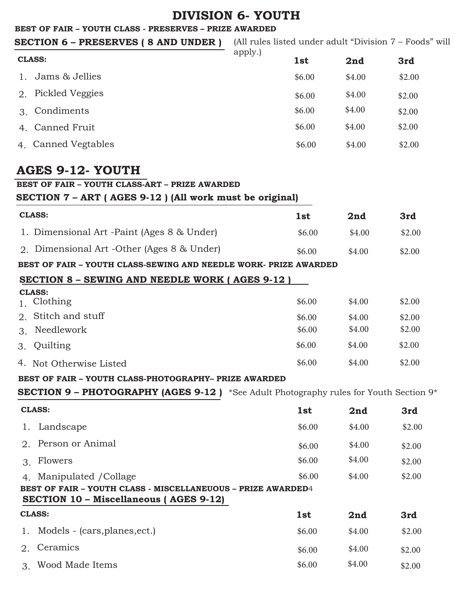#### **BEST OF FAIR – YOUTH CLASS - PRESERVES – PRIZE AWARDED**

**SECTION 6 – PRESERVES ( 8 AND UNDER )** (All rules listed under adult "Division 7 – Foods" will

|    | <b>CLASS:</b>       | apply.) | 1st    | 2nd    | 3rd    |
|----|---------------------|---------|--------|--------|--------|
| 1. | Jams & Jellies      |         | \$6.00 | \$4.00 | \$2.00 |
| 2. | Pickled Veggies     |         | \$6.00 | \$4.00 | \$2.00 |
| 3. | Condiments          |         | \$6.00 | \$4.00 | \$2.00 |
|    | 4. Canned Fruit     |         | \$6.00 | \$4.00 | \$2.00 |
|    | 4. Canned Vegtables |         | \$6.00 | \$4.00 | \$2.00 |

## **AGES 9-12- YOUTH**

**BEST OF FAIR – YOUTH CLASS-ART – PRIZE AWARDED**

**SECTION 7 – ART ( AGES 9-12 ) (All work must be original)**

| <b>CLASS:</b>                              | 1st    | 2nd    | 3rd    |
|--------------------------------------------|--------|--------|--------|
| 1. Dimensional Art -Paint (Ages 8 & Under) | \$6.00 | \$4.00 | \$2.00 |
| 2. Dimensional Art -Other (Ages 8 & Under) | \$6.00 | \$4.00 | \$2.00 |

**BEST OF FAIR – YOUTH CLASS-SEWING AND NEEDLE WORK- PRIZE AWARDED**

## **SECTION 8 – SEWING AND NEEDLE WORK ( AGES 9-12 )**

| <b>CLASS:</b>           |        |        |        |  |  |
|-------------------------|--------|--------|--------|--|--|
| 1. Clothing             | \$6.00 | \$4.00 | \$2.00 |  |  |
| 2. Stitch and stuff     | \$6.00 | \$4.00 | \$2.00 |  |  |
| Needlework<br>3.        | \$6.00 | \$4.00 | \$2.00 |  |  |
| 3. Quilting             | \$6.00 | \$4.00 | \$2.00 |  |  |
| 4. Not Otherwise Listed | \$6.00 | \$4.00 | \$2.00 |  |  |

### **BEST OF FAIR – YOUTH CLASS-PHOTOGRAPHY– PRIZE AWARDED**

**SECTION 9 – PHOTOGRAPHY (AGES 9-12 )** \*See Adult Photography rules for Youth Section 9\*

|               | <b>CLASS:</b><br>1st                                                                                          |        | 2nd    | 3rd    |
|---------------|---------------------------------------------------------------------------------------------------------------|--------|--------|--------|
|               | Landscape                                                                                                     | \$6.00 | \$4.00 | \$2.00 |
| $\mathcal{D}$ | Person or Animal                                                                                              | \$6.00 | \$4.00 | \$2.00 |
| $\mathcal{R}$ | Flowers                                                                                                       | \$6.00 | \$4.00 | \$2.00 |
| 4.            | Manipulated / Collage                                                                                         | \$6.00 | \$4.00 | \$2.00 |
|               | <b>BEST OF FAIR - YOUTH CLASS - MISCELLANEUOUS - PRIZE AWARDED4</b><br>SECTION 10 – Miscellaneous (AGES 9-12) |        |        |        |
| <b>CLASS:</b> |                                                                                                               | 1st    | 2nd    | 3rd    |
| 1.            | Models - (cars, planes, ect.)                                                                                 | \$6.00 | \$4.00 | \$2.00 |
| $2^{\circ}$   | Ceramics                                                                                                      | \$6.00 | \$4.00 | \$2.00 |
| $\mathcal{R}$ | Wood Made Items                                                                                               | \$6.00 | \$4.00 | \$2.00 |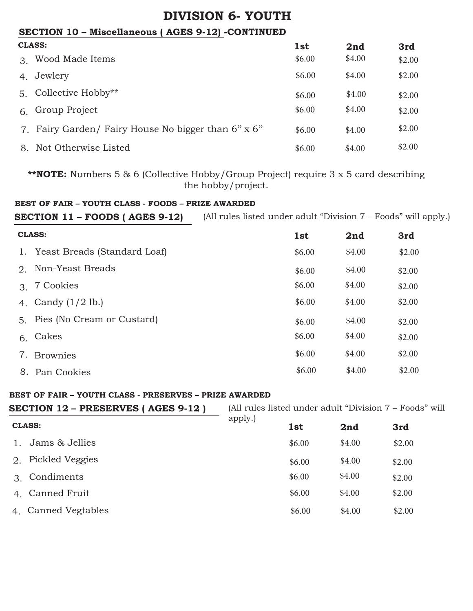## **SECTION 10 – Miscellaneous ( AGES 9-12) -CONTINUED**

|    | <b>CLASS:</b>                                       |        | 2nd    | 3rd    |
|----|-----------------------------------------------------|--------|--------|--------|
|    | 3. Wood Made Items                                  | \$6.00 | \$4.00 | \$2.00 |
|    | 4. Jewlery                                          | \$6.00 | \$4.00 | \$2.00 |
|    | 5. Collective Hobby**                               | \$6.00 | \$4.00 | \$2.00 |
| 6. | Group Project                                       | \$6.00 | \$4.00 | \$2.00 |
|    | 7. Fairy Garden/ Fairy House No bigger than 6" x 6" | \$6.00 | \$4.00 | \$2.00 |
|    | 8. Not Otherwise Listed                             | \$6.00 | \$4.00 | \$2.00 |

**\*\*NOTE:** Numbers 5 & 6 (Collective Hobby/Group Project) require 3 x 5 card describing the hobby/project.

### **BEST OF FAIR – YOUTH CLASS - FOODS – PRIZE AWARDED**

**SECTION 11 – FOODS ( AGES 9-12)**

(All rules listed under adult "Division 7 – Foods" will apply.)

|    | <b>CLASS:</b>                   |        | 2nd    | 3rd    |
|----|---------------------------------|--------|--------|--------|
|    | 1. Yeast Breads (Standard Loaf) | \$6.00 | \$4.00 | \$2.00 |
|    | 2. Non-Yeast Breads             | \$6.00 | \$4.00 | \$2.00 |
| 3. | 7 Cookies                       | \$6.00 | \$4.00 | \$2.00 |
|    | 4. Candy $(1/2$ lb.)            | \$6.00 | \$4.00 | \$2.00 |
|    | 5. Pies (No Cream or Custard)   | \$6.00 | \$4.00 | \$2.00 |
| 6. | Cakes                           | \$6.00 | \$4.00 | \$2.00 |
| 7. | <b>Brownies</b>                 | \$6.00 | \$4.00 | \$2.00 |
| 8. | Pan Cookies                     | \$6.00 | \$4.00 | \$2.00 |

### **BEST OF FAIR – YOUTH CLASS - PRESERVES – PRIZE AWARDED**

| <b>SECTION 12 - PRESERVES ( AGES 9-12 )</b> |         |            | (All rules listed under adult "Division 7 – Foods" will |        |  |
|---------------------------------------------|---------|------------|---------------------------------------------------------|--------|--|
| <b>CLASS:</b>                               | apply.) | <b>1st</b> | 2nd                                                     | 3rd    |  |
| Jams & Jellies                              |         | \$6.00     | \$4.00                                                  | \$2.00 |  |
| Pickled Veggies<br>2.                       |         | \$6.00     | \$4.00                                                  | \$2.00 |  |
| Condiments<br>$\mathcal{B}_{\mathcal{C}}$   |         | \$6.00     | \$4.00                                                  | \$2.00 |  |
| 4. Canned Fruit                             |         | \$6.00     | \$4.00                                                  | \$2.00 |  |
| 4. Canned Vegtables                         |         | \$6.00     | \$4.00                                                  | \$2.00 |  |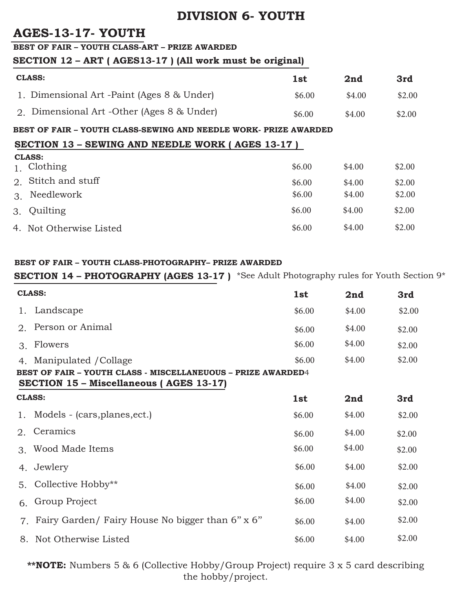## **AGES-13-17- YOUTH**

#### **BEST OF FAIR – YOUTH CLASS-ART – PRIZE AWARDED**

## **SECTION 12 – ART ( AGES13-17 ) (All work must be original)**

| <b>CLASS:</b>                              | 1st    | 2nd    | 3rd    |
|--------------------------------------------|--------|--------|--------|
| 1. Dimensional Art -Paint (Ages 8 & Under) | \$6.00 | \$4.00 | \$2.00 |
| 2. Dimensional Art -Other (Ages 8 & Under) | \$6.00 | \$4.00 | \$2.00 |

### **BEST OF FAIR – YOUTH CLASS-SEWING AND NEEDLE WORK- PRIZE AWARDED**

### **SECTION 13 – SEWING AND NEEDLE WORK ( AGES 13-17 )**

|                | <b>CLASS:</b>           |        |        |        |  |  |  |  |
|----------------|-------------------------|--------|--------|--------|--|--|--|--|
| 1 <sup>1</sup> | Clothing                | \$6.00 | \$4.00 | \$2.00 |  |  |  |  |
|                | 2. Stitch and stuff     | \$6.00 | \$4.00 | \$2.00 |  |  |  |  |
| 3.             | Needlework              | \$6.00 | \$4.00 | \$2.00 |  |  |  |  |
|                | 3. Quilting             | \$6.00 | \$4.00 | \$2.00 |  |  |  |  |
|                | 4. Not Otherwise Listed | \$6.00 | \$4.00 | \$2.00 |  |  |  |  |

### **BEST OF FAIR – YOUTH CLASS-PHOTOGRAPHY– PRIZE AWARDED**

## **SECTION 14 – PHOTOGRAPHY (AGES 13-17 )** \*See Adult Photography rules for Youth Section 9\*

|                                | <b>CLASS:</b>                                                                                                  |            | 2nd    | 3rd    |  |  |  |
|--------------------------------|----------------------------------------------------------------------------------------------------------------|------------|--------|--------|--|--|--|
| 1.                             | Landscape                                                                                                      | \$6.00     | \$4.00 | \$2.00 |  |  |  |
| 2.                             | Person or Animal                                                                                               | \$6.00     | \$4.00 | \$2.00 |  |  |  |
| $\mathcal{S}$                  | Flowers                                                                                                        | \$6.00     | \$4.00 | \$2.00 |  |  |  |
| 4 <sub>1</sub>                 | Manipulated / Collage                                                                                          | \$6.00     | \$4.00 | \$2.00 |  |  |  |
|                                | BEST OF FAIR - YOUTH CLASS - MISCELLANEUOUS - PRIZE AWARDED4<br><b>SECTION 15 - Miscellaneous (AGES 13-17)</b> |            |        |        |  |  |  |
| <b>CLASS:</b>                  |                                                                                                                | <b>1st</b> | 2nd    | 3rd    |  |  |  |
|                                | 1. Models - (cars, planes, ect.)                                                                               | \$6.00     | \$4.00 | \$2.00 |  |  |  |
| 2.                             | Ceramics                                                                                                       | \$6.00     | \$4.00 | \$2.00 |  |  |  |
| $\mathcal{S}$                  | Wood Made Items                                                                                                | \$6.00     | \$4.00 | \$2.00 |  |  |  |
| 4.                             | Jewlery                                                                                                        | \$6.00     | \$4.00 | \$2.00 |  |  |  |
| 5.                             | Collective Hobby**                                                                                             | \$6.00     | \$4.00 | \$2.00 |  |  |  |
| 6.                             | Group Project                                                                                                  | \$6.00     | \$4.00 | \$2.00 |  |  |  |
| $7_{\scriptscriptstyle{\sim}}$ | Fairy Garden/ Fairy House No bigger than 6" x 6"                                                               | \$6.00     | \$4.00 | \$2.00 |  |  |  |
|                                | 8. Not Otherwise Listed                                                                                        | \$6.00     | \$4.00 | \$2.00 |  |  |  |

**\*\*NOTE:** Numbers 5 & 6 (Collective Hobby/Group Project) require 3 x 5 card describing the hobby/project.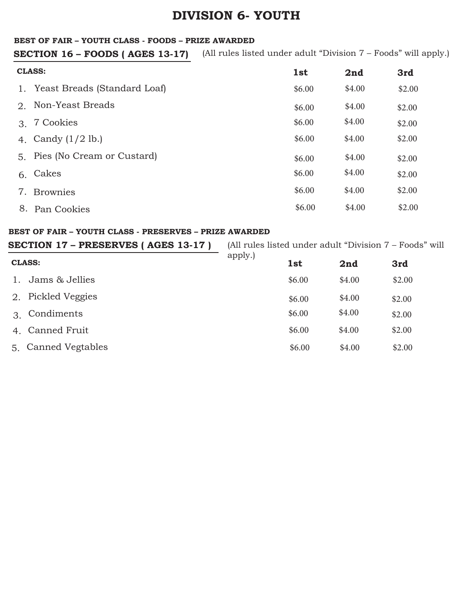#### **BEST OF FAIR – YOUTH CLASS - FOODS – PRIZE AWARDED**

(All rules listed under adult "Division 7 – Foods" will apply.) **SECTION 16 – FOODS ( AGES 13-17)**

|                             | <b>CLASS:</b><br>1st            |        | 2nd    | 3rd    |
|-----------------------------|---------------------------------|--------|--------|--------|
|                             | 1. Yeast Breads (Standard Loaf) | \$6.00 | \$4.00 | \$2.00 |
| $2^{+}$                     | Non-Yeast Breads                | \$6.00 | \$4.00 | \$2.00 |
| $\mathcal{B}_{\mathcal{C}}$ | 7 Cookies                       | \$6.00 | \$4.00 | \$2.00 |
|                             | 4. Candy $(1/2$ lb.)            | \$6.00 | \$4.00 | \$2.00 |
|                             | 5. Pies (No Cream or Custard)   | \$6.00 | \$4.00 | \$2.00 |
| 6.                          | Cakes                           | \$6.00 | \$4.00 | \$2.00 |
| 7.                          | <b>Brownies</b>                 | \$6.00 | \$4.00 | \$2.00 |
| 8.                          | Pan Cookies                     | \$6.00 | \$4.00 | \$2.00 |

#### **BEST OF FAIR – YOUTH CLASS - PRESERVES – PRIZE AWARDED**

| SECTION 17 - PRESERVES (AGES 13-17) |         |        | (All rules listed under adult "Division 7 – Foods" will |        |
|-------------------------------------|---------|--------|---------------------------------------------------------|--------|
| <b>CLASS:</b>                       | apply.) | 1st    | 2nd                                                     | 3rd    |
| Jams & Jellies                      |         | \$6.00 | \$4.00                                                  | \$2.00 |
| Pickled Veggies<br>2.               |         | \$6.00 | \$4.00                                                  | \$2.00 |
| Condiments<br>$\mathcal{R}$         |         | \$6.00 | \$4.00                                                  | \$2.00 |
| Canned Fruit<br>4 <sub>1</sub>      |         | \$6.00 | \$4.00                                                  | \$2.00 |
| Canned Vegtables<br>5.              |         | \$6.00 | \$4.00                                                  | \$2.00 |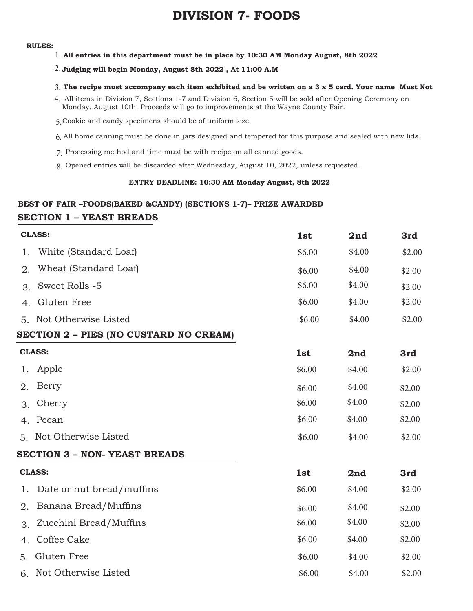#### **RULES:**

**All entries in this department must be in place by 10:30 AM Monday August, 8th 2022** 1.

#### $2.\,$ Judging will begin Monday, August 8th 2022 , At 11:00 A.M

#### **The recipe must accompany each item exhibited and be written on a 3 x 5 card. Your name Must Not** 3.

- All items in Division 7, Sections 1-7 and Division 6, Section 5 will be sold after Opening Ceremony on 4. Monday, August 10th. Proceeds will go to improvements at the Wayne County Fair.
- Cookie and candy specimens should be of uniform size. 5.
- All home canning must be done in jars designed and tempered for this purpose and sealed with new lids. 6.
- Processing method and time must be with recipe on all canned goods. 7.
- Opened entries will be discarded after Wednesday, August 10, 2022, unless requested. 8.

#### **ENTRY DEADLINE: 10:30 AM Monday August, 8th 2022**

### **SECTION 1 – YEAST BREADS BEST OF FAIR –FOODS(BAKED &CANDY) (SECTIONS 1-7)– PRIZE AWARDED**

| <b>CLASS:</b>  |                                        | 1st    | 2nd    | 3rd    |
|----------------|----------------------------------------|--------|--------|--------|
| 1.             | White (Standard Loaf)                  | \$6.00 | \$4.00 | \$2.00 |
| 2.             | Wheat (Standard Loaf)                  | \$6.00 | \$4.00 | \$2.00 |
| 3.             | Sweet Rolls -5                         | \$6.00 | \$4.00 | \$2.00 |
| 4.             | Gluten Free                            | \$6.00 | \$4.00 | \$2.00 |
| 5 <sub>1</sub> | Not Otherwise Listed                   | \$6.00 | \$4.00 | \$2.00 |
|                | SECTION 2 - PIES (NO CUSTARD NO CREAM) |        |        |        |
|                | <b>CLASS:</b>                          | 1st    | 2nd    | 3rd    |
| 1.             | Apple                                  | \$6.00 | \$4.00 | \$2.00 |
| 2.             | Berry                                  | \$6.00 | \$4.00 | \$2.00 |
| 3.             | Cherry                                 | \$6.00 | \$4.00 | \$2.00 |
| 4.             | Pecan                                  | \$6.00 | \$4.00 | \$2.00 |
| 5.             | Not Otherwise Listed                   | \$6.00 | \$4.00 | \$2.00 |
|                | <b>SECTION 3 - NON- YEAST BREADS</b>   |        |        |        |
|                | <b>CLASS:</b>                          | 1st    | 2nd    | 3rd    |
| 1.             | Date or nut bread/muffins              | \$6.00 | \$4.00 | \$2.00 |
| 2.             | Banana Bread/Muffins                   | \$6.00 | \$4.00 | \$2.00 |
| 3.             | Zucchini Bread/Muffins                 | \$6.00 | \$4.00 | \$2.00 |
| 4.             | Coffee Cake                            | \$6.00 | \$4.00 | \$2.00 |
| 5.             | Gluten Free                            | \$6.00 | \$4.00 | \$2.00 |
| 6.             | Not Otherwise Listed                   | \$6.00 | \$4.00 | \$2.00 |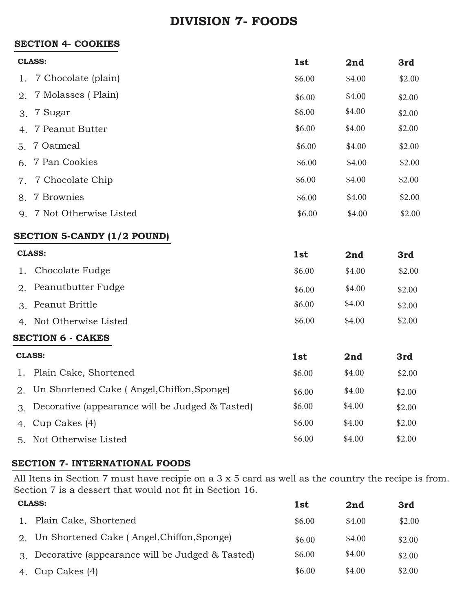## **SECTION 4- COOKIES**

| <b>CLASS:</b>   |                           | 1st    | 2nd    | 3rd    |
|-----------------|---------------------------|--------|--------|--------|
|                 | 1. 7 Chocolate (plain)    | \$6.00 | \$4.00 | \$2.00 |
|                 | 2. 7 Molasses (Plain)     | \$6.00 | \$4.00 | \$2.00 |
| $\mathcal{E}$ . | 7 Sugar                   | \$6.00 | \$4.00 | \$2.00 |
|                 | 4. 7 Peanut Butter        | \$6.00 | \$4.00 | \$2.00 |
|                 | 5. 7 Oatmeal              | \$6.00 | \$4.00 | \$2.00 |
|                 | 6. 7 Pan Cookies          | \$6.00 | \$4.00 | \$2.00 |
| 7.              | 7 Chocolate Chip          | \$6.00 | \$4.00 | \$2.00 |
|                 | 8. 7 Brownies             | \$6.00 | \$4.00 | \$2.00 |
|                 | 9. 7 Not Otherwise Listed | \$6.00 | \$4.00 | \$2.00 |
|                 |                           |        |        |        |

## **SECTION 5-CANDY (1/2 POUND)**

| <b>CLASS:</b>            |                                                 | <b>1st</b> | 2nd    | 3rd    |
|--------------------------|-------------------------------------------------|------------|--------|--------|
| 1.                       | Chocolate Fudge                                 | \$6.00     | \$4.00 | \$2.00 |
|                          | 2. Peanutbutter Fudge                           | \$6.00     | \$4.00 | \$2.00 |
| $\mathcal{R}$            | Peanut Brittle                                  | \$6.00     | \$4.00 | \$2.00 |
| $\overline{4}$           | Not Otherwise Listed                            | \$6.00     | \$4.00 | \$2.00 |
| <b>SECTION 6 - CAKES</b> |                                                 |            |        |        |
|                          |                                                 |            |        |        |
|                          | <b>CLASS:</b>                                   | <b>1st</b> | 2nd    | 3rd    |
| 1.                       | Plain Cake, Shortened                           | \$6.00     | \$4.00 | \$2.00 |
|                          | 2. Un Shortened Cake (Angel, Chiffon, Sponge)   | \$6.00     | \$4.00 | \$2.00 |
| $\mathcal{S}$            | Decorative (appearance will be Judged & Tasted) | \$6.00     | \$4.00 | \$2.00 |
| 4.                       | Cup Cakes (4)                                   | \$6.00     | \$4.00 | \$2.00 |

## **SECTION 7- INTERNATIONAL FOODS**

All Itens in Section 7 must have recipie on a 3 x 5 card as well as the country the recipe is from. Section 7 is a dessert that would not fit in Section 16.

| <b>CLASS:</b> |                                                    | 1st    | 2nd    | 3rd    |
|---------------|----------------------------------------------------|--------|--------|--------|
|               | 1. Plain Cake, Shortened                           | \$6.00 | \$4.00 | \$2.00 |
|               | 2. Un Shortened Cake (Angel, Chiffon, Sponge)      | \$6.00 | \$4.00 | \$2.00 |
|               | 3. Decorative (appearance will be Judged & Tasted) | \$6.00 | \$4.00 | \$2.00 |
|               | 4. Cup Cakes (4)                                   | \$6.00 | \$4.00 | \$2.00 |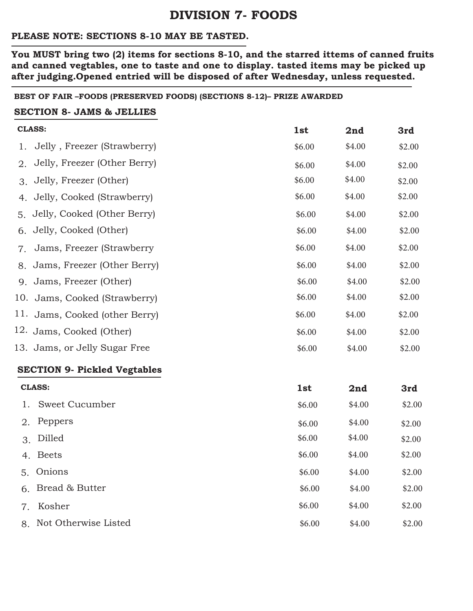### **PLEASE NOTE: SECTIONS 8-10 MAY BE TASTED.**

**You MUST bring two (2) items for sections 8-10, and the starred ittems of canned fruits and canned vegtables, one to taste and one to display. tasted items may be picked up after judging.Opened entried will be disposed of after Wednesday, unless requested.** 

#### **BEST OF FAIR –FOODS (PRESERVED FOODS) (SECTIONS 8-12)– PRIZE AWARDED**

#### **SECTION 8- JAMS & JELLIES**

| <b>CLASS:</b> |                                     | 1st    | 2nd    | 3rd    |
|---------------|-------------------------------------|--------|--------|--------|
| 1.            | Jelly, Freezer (Strawberry)         | \$6.00 | \$4.00 | \$2.00 |
| 2.            | Jelly, Freezer (Other Berry)        | \$6.00 | \$4.00 | \$2.00 |
| 3.            | Jelly, Freezer (Other)              | \$6.00 | \$4.00 | \$2.00 |
| 4.            | Jelly, Cooked (Strawberry)          | \$6.00 | \$4.00 | \$2.00 |
| 5.            | Jelly, Cooked (Other Berry)         | \$6.00 | \$4.00 | \$2.00 |
| 6.            | Jelly, Cooked (Other)               | \$6.00 | \$4.00 | \$2.00 |
| 7.            | Jams, Freezer (Strawberry           | \$6.00 | \$4.00 | \$2.00 |
| 8.            | Jams, Freezer (Other Berry)         | \$6.00 | \$4.00 | \$2.00 |
| 9.            | Jams, Freezer (Other)               | \$6.00 | \$4.00 | \$2.00 |
|               | 10. Jams, Cooked (Strawberry)       | \$6.00 | \$4.00 | \$2.00 |
|               | 11. Jams, Cooked (other Berry)      | \$6.00 | \$4.00 | \$2.00 |
|               | 12. Jams, Cooked (Other)            | \$6.00 | \$4.00 | \$2.00 |
|               | 13. Jams, or Jelly Sugar Free       | \$6.00 | \$4.00 | \$2.00 |
|               | <b>SECTION 9- Pickled Vegtables</b> |        |        |        |
|               | <b>CLASS:</b>                       | 1st    | 2nd    | 3rd    |
| 1.            | <b>Sweet Cucumber</b>               | \$6.00 | \$4.00 | \$2.00 |
| 2.            | Peppers                             | \$6.00 | \$4.00 | \$2.00 |
| 3.            | Dilled                              | \$6.00 | \$4.00 | \$2.00 |
|               | 4. Beets                            | \$6.00 | \$4.00 | \$2.00 |
|               | 5. Onions                           | \$6.00 | \$4.00 | \$2.00 |
| 6.            | Bread & Butter                      | \$6.00 | \$4.00 | \$2.00 |
| 7.            | Kosher                              | \$6.00 | \$4.00 | \$2.00 |
| 8.            | Not Otherwise Listed                | \$6.00 | \$4.00 | \$2.00 |